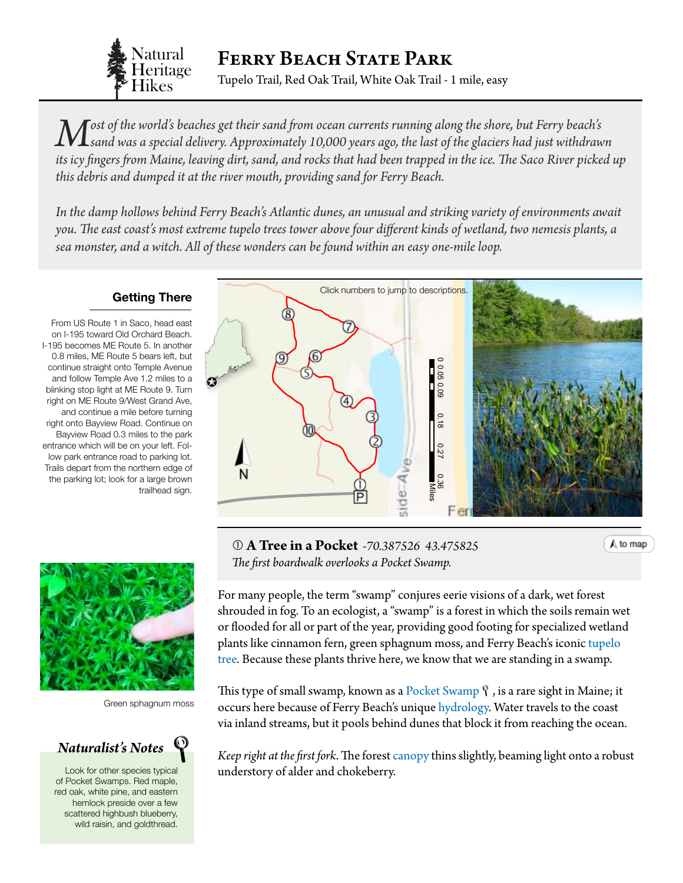

*M* ost of the world's beaches get their sand from ocean currents running along the shore, but Ferry beach's cand was a special delivery of the state of the social delivery of the shore of the shore of the shore of the sho *sand was a special delivery. Approximately 10,000 years ago, the last of the glaciers had just withdrawn*  its icy fingers from Maine, leaving dirt, sand, and rocks that had been trapped in the ice. The Saco River picked up *this debris and dumped it at the river mouth, providing sand for Ferry Beach.*

*In the damp hollows behind Ferry Beach's Atlantic dunes, an unusual and striking variety of environments await you. The east coast's most extreme tupelo trees tower above four different kinds of wetland, two nemesis plants, a sea monster, and a witch. All of these wonders can be found within an easy one-mile loop.*

## **Getting There**

From US Route 1 in Saco, head east on I-195 toward Old Orchard Beach. I-195 becomes ME Route 5. In another 0.8 miles, ME Route 5 bears left, but continue straight onto Temple Avenue and follow Temple Ave 1.2 miles to a blinking stop light at ME Route 9. Turn right on ME Route 9/West Grand Ave, and continue a mile before turning right onto Bayview Road. Continue on Bayview Road 0.3 miles to the park entrance which will be on your left. Follow park entrance road to parking lot. Trails depart from the northern edge of the parking lot; look for a large brown trailhead sign.



Green sphagnum moss

*Naturalist's Notes*

Look for other species typical understory of alder and chokeberry. of Pocket Swamps. Red maple, red oak, white pine, and eastern hemlock preside over a few scattered highbush blueberry, wild raisin, and goldthread.

<span id="page-0-0"></span>

Sources: Esri, DeLorme, NAVTEQ, TomTom, **0 A Tree in a Pocket** *-70.387526 43.475825* NPS, NRCAN, GeoBase, IGN, Kadaster NL, *The first boardwalk overlooks a Pocket Swamp.*

Ordnance Survey, Esri Japan, METI, Esri China

 $\Gamma$  kong kong Kong), swisstopo, and the GIS User  $\frac{a}{b}$  user  $\frac{b}{b}$ For many people, the term "swamp" conjures eerie visions of a dark, wet forest shrouded in fog. To an ecologist, a "swamp" is a forest in which the soils remain wet or flooded for all or part of the year, providing good footing for specialized wetland plants like cinnamon fern, green sphagnum moss, and Ferry Beach's iconic [tupelo](http://dendro.cnre.vt.edu/dendrology/syllabus/factsheet.cfm?ID=60)  [tree](http://dendro.cnre.vt.edu/dendrology/syllabus/factsheet.cfm?ID=60). Because these plants thrive here, we know that we are standing in a swamp.

This type of small swamp, known as a [Pocket Swamp](http://www.maine.gov/dacf/mnap/features/communities/hemlockhardwood.htm)  $\gamma$ , is a rare sight in Maine; it occurs here because of Ferry Beach's unique [hydrology](#page-3-0). Water travels to the coast via inland streams, but it pools behind dunes that block it from reaching the ocean.

*Keep right at the first fork*. The forest [canopy](#page-3-0) thins slightly, beaming light onto a robust

A to map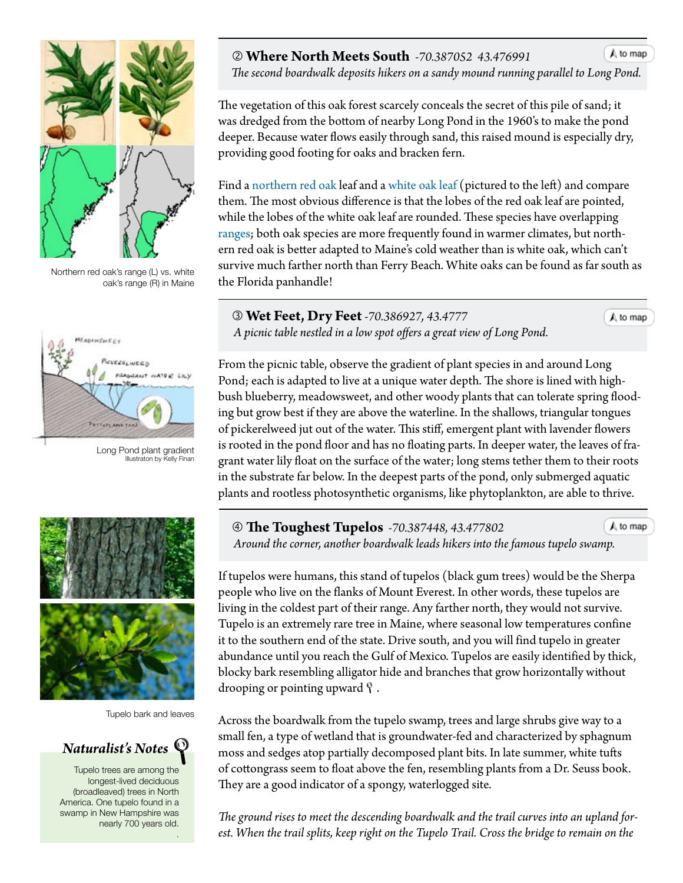

Northern red oak's range (L) vs. white oak's range (R) in Maine



Long Pond plant gradient Illustraton by Kelly Finan



Tupelo bark and leaves



Tupelo trees are among the longest-lived deciduous (broadleaved) trees in North America. One tupelo found in a swamp in New Hampshire was nearly 700 years old. .

## **Where North Meets South** *-70.387052 43.476991*

 *The second boardwalk deposits hikers on a sandy mound running parallel t[o Long Pond.](#page-0-0)*

The vegetation of this oak forest scarcely conceals the secret of this pile of sand; it was dredged from the bottom of nearby Long Pond in the 1960's to make the pond deeper. Because water flows easily through sand, this raised mound is especially dry, providing good footing for oaks and bracken fern.

Find a [northern red oak](http://dendro.cnre.vt.edu/dendrology/syllabus/factsheet.cfm?ID=38) leaf and a [white oak leaf](http://dendro.cnre.vt.edu/dendrology/syllabus/factsheet.cfm?ID=35) (pictured to the left) and compare them. The most obvious difference is that the lobes of the red oak leaf are pointed, while the lobes of the white oak leaf are rounded. These species have overlapping [ranges;](#page-3-0) both oak species are more frequently found in warmer climates, but northern red oak is better adapted to Maine's cold weather than is white oak, which can't survive much farther north than Ferry Beach. White oaks can be found as far south as the Florida panhandle!

 **Wet Feet, Dry Feet** *-70.386927, 43.4777 A picnic table nestled in a low spot offers a great view of Long Pond.*

A to map

 $A$  to map

From the picnic table, observe the gradient of plant species in and around Long Pond; each is adapted to live at a unique water depth. The shore is lined with highbush blueberry, meadowsweet, and other woody plants that can tolerate spring flooding but grow best if they are above the waterline. In the shallows, triangular tongues of pickerelweed jut out of the water. This stiff, emergent plant with lavender flowers is rooted in the pond floor and has no floating parts. In deeper water, the leaves of fragrant water lily float on the surface of the water; long stems tether them to their roots in the [substrate](#page-3-0) far below. In the deepest parts of the pond, only submerged aquatic plants and rootless photosynthetic organisms, like phytoplankton, are able to thrive.

 **The Toughest Tupelos** *-70.387448, 43.477802*  $A$  to map  *Around the corner, another boardwalk leads hikers into the famous tupelo s[wamp.](#page-0-0)*

If tupelos were humans, this stand of tupelos (black gum trees) would be the Sherpa people who live on the flanks of Mount Everest. In other words, these tupelos are living in the coldest part of their range. Any farther north, they would not survive. Tupelo is an extremely rare tree in Maine, where seasonal low temperatures confine it to the southern end of the state. Drive south, and you will find tupelo in greater abundance until you reach the Gulf of Mexico. Tupelos are easily identified by thick, blocky bark resembling alligator hide and branches that grow horizontally without drooping or pointing upward  $\ell$ .

Across the boardwalk from the tupelo swamp, trees and large shrubs give way to a small fen, a type of wetland that is groundwater-fed and characterized by sphagnum moss and sedges atop partially decomposed plant bits. In late summer, white tufts of cottongrass seem to float above the fen, resembling plants from a Dr. Seuss book. They are a good indicator of a spongy, waterlogged site.

*The ground rises to meet the descending boardwalk and the trail curves into an upland forest. When the trail splits, keep right on the Tupelo Trail. Cross the bridge to remain on the*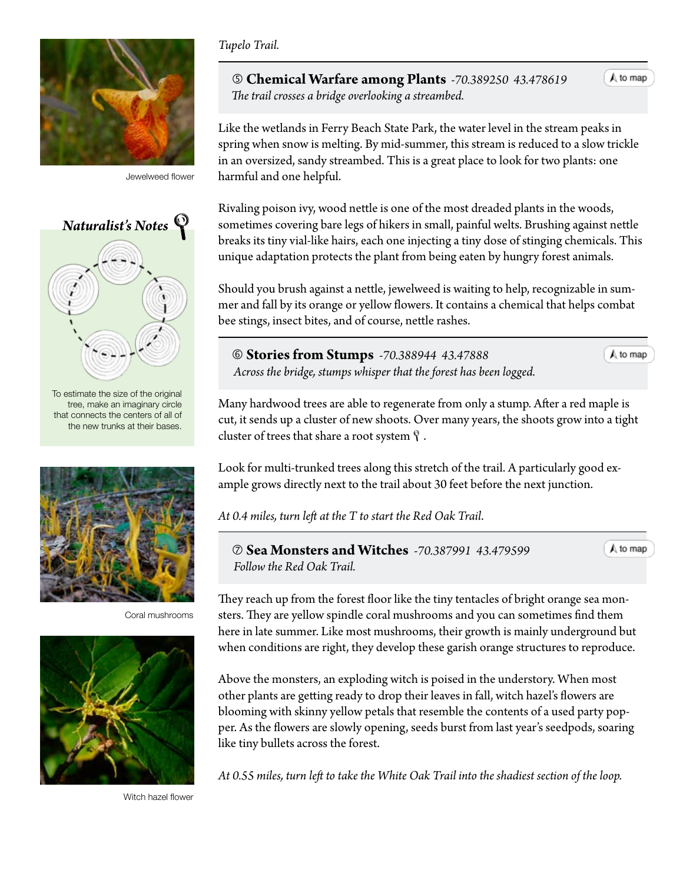

Jewelweed flower



To estimate the size of the original tree, make an imaginary circle that connects the centers of all of the new trunks at their bases.



Coral mushrooms



Witch hazel flower

## *Tupelo Trail.*

 **Chemical Warfare among Plants** *-70.389250 43.478619 The trail crosses a bridge overlooking a streambed.*

Like the wetlands in Ferry Beach State Park, the water level in the stream peaks in spring when snow is melting. By mid-summer, this stream is reduced to a slow trickle in an oversized, sandy streambed. This is a great place to look for two plants: one harmful and one helpful.

Rivaling poison ivy, wood nettle is one of the most dreaded plants in the woods, sometimes covering bare legs of hikers in small, painful welts. Brushing against nettle breaks its tiny vial-like hairs, each one injecting a tiny dose of stinging chemicals. This unique adaptation protects the plant from being eaten by hungry forest animals.

Should you brush against a nettle, jewelweed is waiting to help, recognizable in summer and fall by its orange or yellow flowers. It contains a chemical that helps combat bee stings, insect bites, and of course, nettle rashes.

 **Stories from Stumps** *-70.388944 43.47888 Across the bridge, stumps whisper that the forest has been logged.* A to map

A to map

Many hardwood trees are able to regenerate from only a stump. After a red maple is cut, it sends up a cluster of new shoots. Over many years, the shoots grow into a tight cluster of trees that share a root system  $\mathcal{P}$ .

Look for multi-trunked trees along this stretch of the trail. A particularly good example grows directly next to the trail about 30 feet before the next junction.

*At 0.4 miles, turn left at the T to start the Red Oak Trail*.

 **Sea Monsters and Witches** *-70.387991 43.479599 Follow the Red Oak Trail.*

 $A$  to map

They reach up from the forest floor like the tiny tentacles of bright orange sea monsters. They are yellow spindle coral mushrooms and you can sometimes find them here in late summer. Like most mushrooms, their growth is mainly underground but when conditions are right, they develop these garish orange structures to reproduce.

Above the monsters, an exploding witch is poised in the understory. When most other plants are getting ready to drop their leaves in fall, witch hazel's flowers are blooming with skinny yellow petals that resemble the contents of a used party popper. As the flowers are slowly opening, seeds burst from last year's seedpods, soaring like tiny bullets across the forest.

*At 0.55 miles, turn left to take the White Oak Trail into the shadiest section of the loop.*